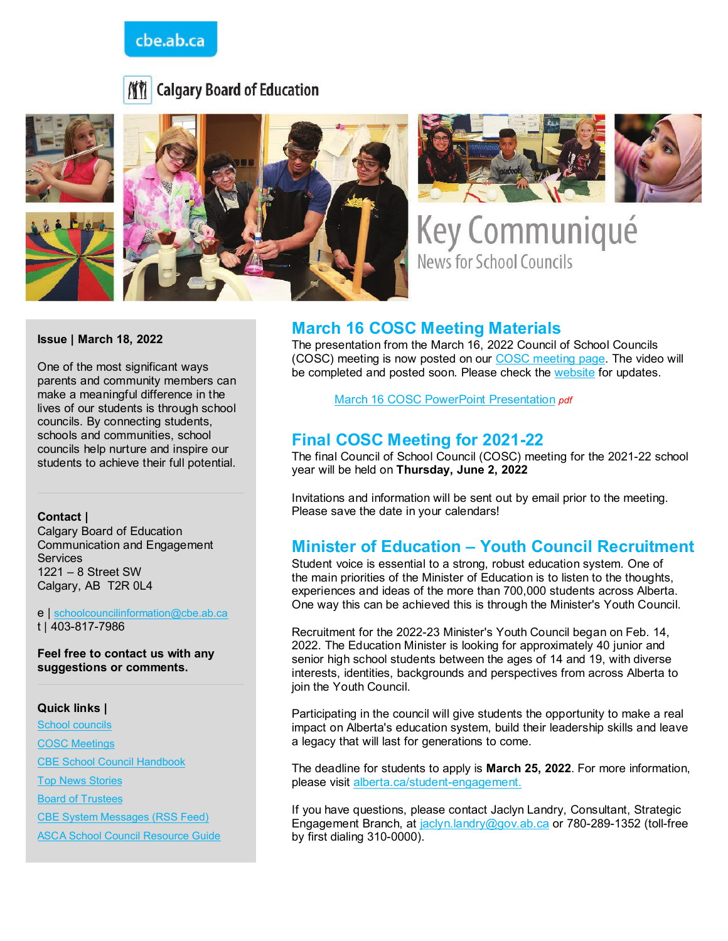# cbe.ab.ca







Key Communiqué **News for School Councils** 

#### **Issue | March 18, 2022**

One of the most significant ways parents and community members can make a meaningful difference in the lives of our students is through school councils. By connecting students, schools and communities, school councils help nurture and inspire our students to achieve their full potential.

#### **Contact |**

Calgary Board of Education Communication and Engagement **Services** 1221 – 8 Street SW Calgary, AB T2R 0L4

e | [schoolcouncilinformation@cbe.ab.ca](mailto:schoolcouncilinformation@cbe.ab.ca) t | 403-817-7986

**Feel free to contact us with any suggestions or comments.**

#### **Quick links |**

[School councils](http://www.cbe.ab.ca/get-involved/school-councils/Pages/school-councils.aspx) [COSC Meetings](http://www.cbe.ab.ca/get-involved/school-councils/Pages/meetings.aspx) [CBE School Council Handbook](http://cbe.ab.ca/FormsManuals/School-Council-Handbook.pdf) Top [News Stories](https://cbe.ab.ca/news-centre/Pages/default.aspx) [Board of Trustees](http://cbe.ab.ca/about-us/board-of-trustees/Pages/default.aspx) [CBE System Messages \(RSS Feed\)](http://cbe.ab.ca/news-centre/rss/Pages/default.aspx) [ASCA School Council Resource Guide](https://www.albertaschoolcouncils.ca/public/download/files/181387)

### **March 16 COSC Meeting Materials**

The presentation from the March 16, 2022 Council of School Councils (COSC) meeting is now posted on our [COSC meeting page.](https://www.cbe.ab.ca/get-involved/school-councils/Pages/meetings.aspx) The video will be completed and posted soon. Please check the [website](https://www.cbe.ab.ca/get-involved/school-councils/Pages/meetings.aspx) for updates.

March 16 [COSC PowerPoint Presentation](https://www.cbe.ab.ca/get-involved/school-councils/Documents/20220316-COSC-Presentation.pdf) *pdf*

### **Final COSC Meeting for 2021-22**

The final Council of School Council (COSC) meeting for the 2021-22 school year will be held on **Thursday, June 2, 2022**

Invitations and information will be sent out by email prior to the meeting. Please save the date in your calendars!

### **Minister of Education – Youth Council Recruitment**

Student voice is essential to a strong, robust education system. One of the main priorities of the Minister of Education is to listen to the thoughts, experiences and ideas of the more than 700,000 students across Alberta. One way this can be achieved this is through the Minister's Youth Council.

Recruitment for the 2022-23 Minister's Youth Council began on Feb. 14, 2022. The Education Minister is looking for approximately 40 junior and senior high school students between the ages of 14 and 19, with diverse interests, identities, backgrounds and perspectives from across Alberta to join the Youth Council.

Participating in the council will give students the opportunity to make a real impact on Alberta's education system, build their leadership skills and leave a legacy that will last for generations to come.

The deadline for students to apply is **March 25, 2022**. For more information, please visit [alberta.ca/student-engagement.](https://www.alberta.ca/student-engagement.aspx)

If you have questions, please contact Jaclyn Landry, Consultant, Strategic Engagement Branch, at [jaclyn.landry@gov.ab.ca](mailto:jaclyn.landry@gov.ab.ca) or 780-289-1352 (toll-free by first dialing 310-0000).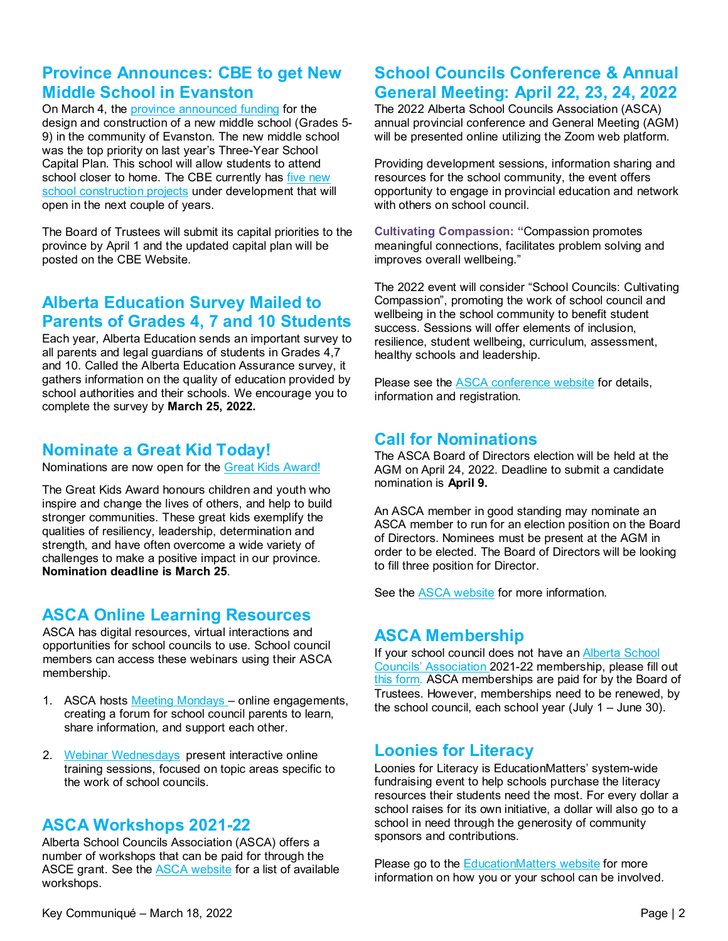## **Province Announces: CBE to get New Middle School in Evanston**

On March 4, the [province announced funding](https://www.alberta.ca/release.cfm?xID=820335BD28B90-DB25-2AD0-7D08F8FD6E3E78EE) for the design and construction of a new middle school (Grades 5- 9) in the community of Evanston. The new middle school was the top priority on last year's Three-Year School Capital Plan. This school will allow students to attend school closer to home. The CBE currently has five new [school construction projects](https://www.cbe.ab.ca/schools/building-and-modernizing-schools/Pages/default.aspx) under development that will open in the next couple of years.

The Board of Trustees will submit its capital priorities to the province by April 1 and the updated capital plan will be posted on the CBE Website.

# **Alberta Education Survey Mailed to Parents of Grades 4, 7 and 10 Students**

Each year, Alberta Education sends an important survey to all parents and legal guardians of students in Grades 4,7 and 10. Called the Alberta Education Assurance survey, it gathers information on the quality of education provided by school authorities and their schools. We encourage you to complete the survey by **March 25, 2022.**

# **Nominate a Great Kid Today!**

Nominations are now open for the [Great Kids Award!](https://www.alberta.ca/great-kids-award.aspx)

The Great Kids Award honours children and youth who inspire and change the lives of others, and help to build stronger communities. These great kids exemplify the qualities of resiliency, leadership, determination and strength, and have often overcome a wide variety of challenges to make a positive impact in our province. **Nomination deadline is March 25**.

# **ASCA Online Learning Resources**

ASCA has digital resources, virtual interactions and opportunities for school councils to use. School council members can access these webinars using their ASCA membership.

- 1. ASCA hosts Meeting Mondays online engagements, creating a forum for school council parents to learn, share information, and support each other.
- 2. [Webinar Wednesdays](https://www.albertaschoolcouncils.ca/school-councils/webinars/webinar-wednesdays) present interactive online training sessions, focused on topic areas specific to the work of school councils.

# **ASCA Workshops 2021-22**

Alberta School Councils Association (ASCA) offers a number of workshops that can be paid for through the ASCE grant. See the [ASCA website](https://www.albertaschoolcouncils.ca/school-councils/workshops/workshops-2021-2022) for a list of available workshops.

# **School Councils Conference & Annual General Meeting: April 22, 23, 24, 2022**

The 2022 Alberta School Councils Association (ASCA) annual provincial conference and General Meeting (AGM) will be presented online utilizing the Zoom web platform.

Providing development sessions, information sharing and resources for the school community, the event offers opportunity to engage in provincial education and network with others on school council.

**Cultivating Compassion: "**Compassion promotes meaningful connections, facilitates problem solving and improves overall wellbeing."

The 2022 event will consider "School Councils: Cultivating Compassion", promoting the work of school council and wellbeing in the school community to benefit student success. Sessions will offer elements of inclusion, resilience, student wellbeing, curriculum, assessment, healthy schools and leadership.

Please see the [ASCA conference website](https://www.albertaschoolcouncils.ca/about/annual-conference) for details. information and registration.

# **Call for Nominations**

The ASCA Board of Directors election will be held at the AGM on April 24, 2022. Deadline to submit a candidate nomination is **April 9.**

An ASCA member in good standing may nominate an ASCA member to run for an election position on the Board of Directors. Nominees must be present at the AGM in order to be elected. The Board of Directors will be looking to fill three position for Director.

See the [ASCA website](https://www.albertaschoolcouncils.ca/about/annual-general-meeting/board-election-information?utm_medium=email&utm_campaign=School%20Council%20eNews%20February%2025%202022&utm_content=School%20Council%20eNews%20February%2025%202022+CID_1f9b5631f42deef5d3d54c980bc7de58&utm_source=MailGuide%20email%20marketing%20software&utm_term=Information) for more information.

## **ASCA Membership**

If your school council does not have a[n Alberta School](https://www.albertaschoolcouncils.ca/)  [Councils' Association](https://www.albertaschoolcouncils.ca/) 2021-22 membership, please fill out [this form](https://www.albertaschoolcouncils.ca/about/membership/request-for-membership)*.* ASCA memberships are paid for by the Board of Trustees. However, memberships need to be renewed, by the school council, each school year (July 1 – June 30).

### **Loonies for Literacy**

Loonies for Literacy is EducationMatters' system-wide fundraising event to help schools purchase the literacy resources their students need the most. For every dollar a school raises for its own initiative, a dollar will also go to a school in need through the generosity of community sponsors and contributions.

Please go to the [EducationMatters website](https://www.educationmatters.ca/loonies-for-literacy/) for more information on how you or your school can be involved.